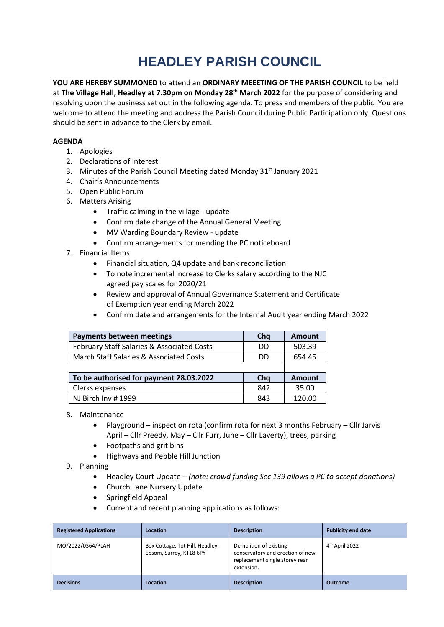## **HEADLEY PARISH COUNCIL**

**YOU ARE HEREBY SUMMONED** to attend an **ORDINARY MEEETING OF THE PARISH COUNCIL** to be held at **The Village Hall, Headley at 7.30pm on Monday 28th March 2022** for the purpose of considering and resolving upon the business set out in the following agenda. To press and members of the public: You are welcome to attend the meeting and address the Parish Council during Public Participation only. Questions should be sent in advance to the Clerk by email.

## **AGENDA**

- 1. Apologies
- 2. Declarations of Interest
- 3. Minutes of the Parish Council Meeting dated Monday 31<sup>st</sup> January 2021
- 4. Chair's Announcements
- 5. Open Public Forum
- 6. Matters Arising
	- Traffic calming in the village update
	- Confirm date change of the Annual General Meeting
	- MV Warding Boundary Review update
	- Confirm arrangements for mending the PC noticeboard
- 7. Financial Items
	- Financial situation, Q4 update and bank reconciliation
	- To note incremental increase to Clerks salary according to the NJC agreed pay scales for 2020/21
	- Review and approval of Annual Governance Statement and Certificate of Exemption year ending March 2022
	- Confirm date and arrangements for the Internal Audit year ending March 2022

| <b>Payments between meetings</b>           | Chq | <b>Amount</b> |
|--------------------------------------------|-----|---------------|
| February Staff Salaries & Associated Costs | DD  | 503.39        |
| March Staff Salaries & Associated Costs    | DD  | 654.45        |
|                                            |     |               |
| To be authorised for payment 28.03.2022    | Chq | <b>Amount</b> |
| Clerks expenses                            | 842 | 35.00         |
| NJ Birch Inv #1999                         | 843 | 120.00        |

## 8. Maintenance

- Playground inspection rota (confirm rota for next 3 months February Cllr Jarvis April – Cllr Preedy, May – Cllr Furr, June – Cllr Laverty), trees, parking
- Footpaths and grit bins
- Highways and Pebble Hill Junction
- 9. Planning
	- Headley Court Update *(note: crowd funding Sec 139 allows a PC to accept donations)*
	- Church Lane Nursery Update
	- Springfield Appeal
	- Current and recent planning applications as follows:

| <b>Registered Applications</b> | Location                                                   | <b>Description</b>                                                                                         | <b>Publicity end date</b>  |
|--------------------------------|------------------------------------------------------------|------------------------------------------------------------------------------------------------------------|----------------------------|
| MO/2022/0364/PLAH              | Box Cottage, Tot Hill, Headley,<br>Epsom, Surrey, KT18 6PY | Demolition of existing<br>conservatory and erection of new<br>replacement single storey rear<br>extension. | 4 <sup>th</sup> April 2022 |
| <b>Decisions</b>               | Location                                                   | <b>Description</b>                                                                                         | <b>Outcome</b>             |